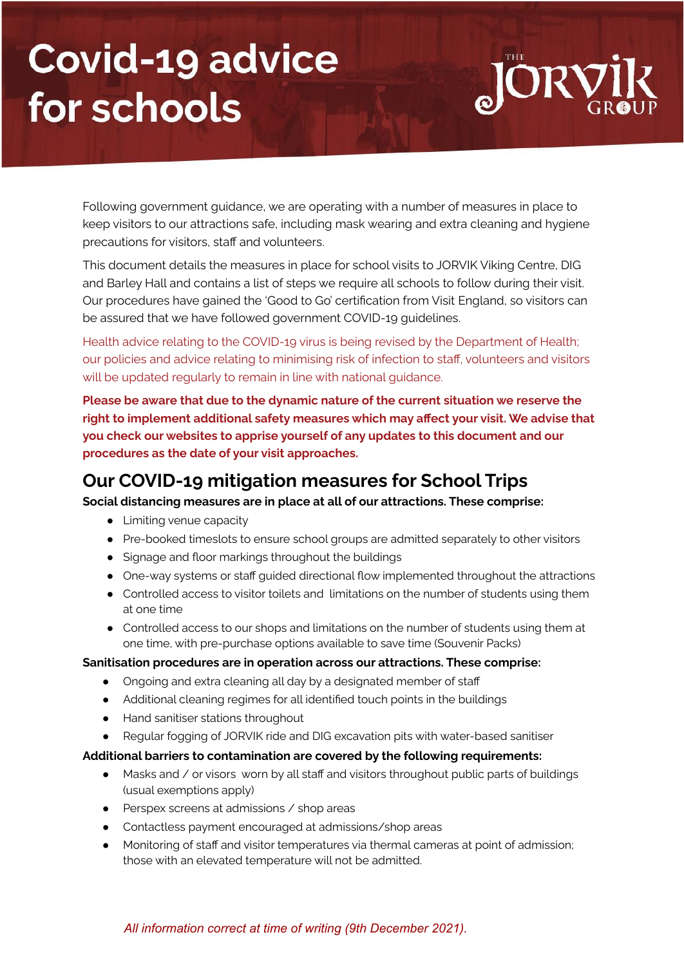# **Covid-19 advice** for schools



Following government guidance, we are operating with a number of measures in place to keep visitors to our attractions safe, including mask wearing and extra cleaning and hygiene precautions for visitors, staff and volunteers.

This document details the measures in place for school visits to JORVIK Viking Centre, DIG and Barley Hall and contains a list of steps we require all schools to follow during their visit. Our procedures have gained the 'Good to Go' certification from Visit England, so visitors can be assured that we have followed government COVID-19 guidelines.

Health advice relating to the COVID-19 virus is being revised by the Department of Health; our policies and advice relating to minimising risk of infection to staff, volunteers and visitors will be updated regularly to remain in line with national guidance.

**Please be aware that due to the dynamic nature of the current situation we reserve the right to implement additional safety measures which may affect your visit. We advise that you check our websites to apprise yourself of any updates to this document and our procedures as the date of your visit approaches.**

## **Our COVID-19 mitigation measures for School Trips**

### **Social distancing measures are in place at all of our attractions. These comprise:**

- Limiting venue capacity
- Pre-booked timeslots to ensure school groups are admitted separately to other visitors
- Signage and floor markings throughout the buildings
- One-way systems or staff quided directional flow implemented throughout the attractions
- Controlled access to visitor toilets and limitations on the number of students using them at one time
- Controlled access to our shops and limitations on the number of students using them at one time, with pre-purchase options available to save time (Souvenir Packs)

#### **Sanitisation procedures are in operation across our attractions. These comprise:**

- Ongoing and extra cleaning all day by a designated member of staff
- Additional cleaning regimes for all identified touch points in the buildings
- Hand sanitiser stations throughout
- Regular fogging of JORVIK ride and DIG excavation pits with water-based sanitiser

#### **Additional barriers to contamination are covered by the following requirements:**

- Masks and / or visors worn by all staff and visitors throughout public parts of buildings (usual exemptions apply)
- Perspex screens at admissions / shop areas
- Contactless payment encouraged at admissions/shop areas
- Monitoring of staff and visitor temperatures via thermal cameras at point of admission; those with an elevated temperature will not be admitted.

### *All information correct at time of writing (9th December 2021).*